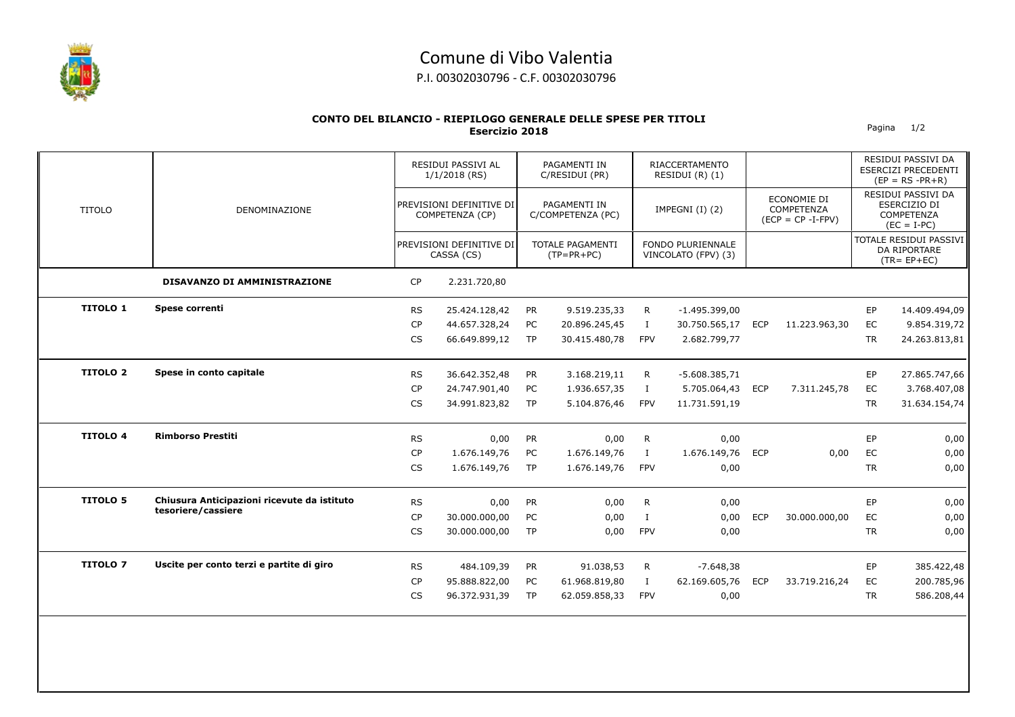

## Comune di Vibo Valentia

P.I. 00302030796 - C.F. 00302030796

## **CONTO DEL BILANCIO - RIEPILOGO GENERALE DELLE SPESE PER TITOLI Esercizio 2018** Pagina 1/2

|                 | DENOMINAZIONE                               |           | RESIDUI PASSIVI AL<br>$1/1/2018$ (RS)<br>PREVISIONI DEFINITIVE DI<br>COMPETENZA (CP)<br>PREVISIONI DEFINITIVE DI<br>CASSA (CS) |           | PAGAMENTI IN<br>C/RESIDUI (PR)<br>PAGAMENTI IN<br>C/COMPETENZA (PC)<br><b>TOTALE PAGAMENTI</b><br>$(TP=PR+PC)$ |              | <b>RIACCERTAMENTO</b><br>RESIDUI (R) (1)<br>IMPEGNI (I) (2)<br><b>FONDO PLURIENNALE</b><br>VINCOLATO (FPV) (3) |            |                                                   |           | RESIDUI PASSIVI DA<br><b>ESERCIZI PRECEDENTI</b><br>$(EP = RS - PR + R)$                                                               |
|-----------------|---------------------------------------------|-----------|--------------------------------------------------------------------------------------------------------------------------------|-----------|----------------------------------------------------------------------------------------------------------------|--------------|----------------------------------------------------------------------------------------------------------------|------------|---------------------------------------------------|-----------|----------------------------------------------------------------------------------------------------------------------------------------|
| <b>TITOLO</b>   |                                             |           |                                                                                                                                |           |                                                                                                                |              |                                                                                                                |            | ECONOMIE DI<br>COMPETENZA<br>$(ECP = CP - I-FPV)$ |           | RESIDUI PASSIVI DA<br>ESERCIZIO DI<br><b>COMPETENZA</b><br>$(EC = I-PC)$<br>TOTALE RESIDUI PASSIVI<br>DA RIPORTARE<br>$(TR = EP + EC)$ |
|                 |                                             |           |                                                                                                                                |           |                                                                                                                |              |                                                                                                                |            |                                                   |           |                                                                                                                                        |
|                 | DISAVANZO DI AMMINISTRAZIONE                | <b>CP</b> | 2.231.720,80                                                                                                                   |           |                                                                                                                |              |                                                                                                                |            |                                                   |           |                                                                                                                                        |
| <b>TITOLO 1</b> | Spese correnti                              | <b>RS</b> | 25.424.128,42                                                                                                                  | PR        | 9.519.235,33                                                                                                   | R.           | $-1.495.399,00$                                                                                                |            |                                                   | EP        | 14.409.494,09                                                                                                                          |
|                 |                                             | <b>CP</b> | 44.657.328,24                                                                                                                  | PC        | 20.896.245,45                                                                                                  | $\bf{I}$     | 30.750.565,17                                                                                                  | <b>ECP</b> | 11.223.963,30                                     | EC        | 9.854.319,72                                                                                                                           |
|                 |                                             | <b>CS</b> | 66.649.899,12                                                                                                                  | <b>TP</b> | 30.415.480,78                                                                                                  | <b>FPV</b>   | 2.682.799,77                                                                                                   |            |                                                   | <b>TR</b> | 24.263.813,81                                                                                                                          |
| <b>TITOLO 2</b> | Spese in conto capitale                     | <b>RS</b> | 36.642.352,48                                                                                                                  | <b>PR</b> | 3.168.219,11                                                                                                   | R            | $-5.608.385,71$                                                                                                |            |                                                   | <b>EP</b> | 27.865.747,66                                                                                                                          |
|                 |                                             | <b>CP</b> | 24.747.901,40                                                                                                                  | PC        | 1.936.657,35                                                                                                   | $\bf{I}$     | 5.705.064,43                                                                                                   | <b>ECP</b> | 7.311.245,78                                      | EC        | 3.768.407,08                                                                                                                           |
|                 |                                             | CS        | 34.991.823,82                                                                                                                  | <b>TP</b> | 5.104.876,46                                                                                                   | <b>FPV</b>   | 11.731.591,19                                                                                                  |            |                                                   | <b>TR</b> | 31.634.154,74                                                                                                                          |
| <b>TITOLO 4</b> | <b>Rimborso Prestiti</b>                    | <b>RS</b> | 0,00                                                                                                                           | <b>PR</b> | 0,00                                                                                                           | R            | 0,00                                                                                                           |            |                                                   | EP        | 0,00                                                                                                                                   |
|                 |                                             | <b>CP</b> | 1.676.149,76                                                                                                                   | PC        | 1.676.149,76                                                                                                   | Ι.           | 1.676.149,76                                                                                                   | <b>ECP</b> | 0,00                                              | EC        | 0,00                                                                                                                                   |
|                 |                                             | CS        | 1.676.149,76                                                                                                                   | <b>TP</b> | 1.676.149,76                                                                                                   | <b>FPV</b>   | 0,00                                                                                                           |            |                                                   | <b>TR</b> | 0,00                                                                                                                                   |
| <b>TITOLO 5</b> | Chiusura Anticipazioni ricevute da istituto | <b>RS</b> | 0,00                                                                                                                           | <b>PR</b> | 0,00                                                                                                           | R            | 0,00                                                                                                           |            |                                                   | EP        | 0,00                                                                                                                                   |
|                 | tesoriere/cassiere                          | <b>CP</b> | 30.000.000,00                                                                                                                  | PC        | 0,00                                                                                                           | $\mathbf{I}$ | 0,00                                                                                                           | <b>ECP</b> | 30.000.000,00                                     | EC        | 0,00                                                                                                                                   |
|                 |                                             | <b>CS</b> | 30.000.000,00                                                                                                                  | TP        | 0,00                                                                                                           | <b>FPV</b>   | 0,00                                                                                                           |            |                                                   | <b>TR</b> | 0,00                                                                                                                                   |
| <b>TITOLO 7</b> | Uscite per conto terzi e partite di giro    | <b>RS</b> | 484.109,39                                                                                                                     | PR        | 91.038,53                                                                                                      | R            | $-7.648,38$                                                                                                    |            |                                                   | EP        | 385.422,48                                                                                                                             |
|                 |                                             | <b>CP</b> | 95.888.822,00                                                                                                                  | PC        | 61.968.819,80                                                                                                  | $\mathbf{I}$ | 62.169.605,76                                                                                                  | <b>ECP</b> | 33.719.216,24                                     | EC        | 200.785,96                                                                                                                             |
|                 |                                             | <b>CS</b> | 96.372.931,39                                                                                                                  | TP        | 62.059.858,33                                                                                                  | <b>FPV</b>   | 0,00                                                                                                           |            |                                                   | <b>TR</b> | 586.208,44                                                                                                                             |
|                 |                                             |           |                                                                                                                                |           |                                                                                                                |              |                                                                                                                |            |                                                   |           |                                                                                                                                        |
|                 |                                             |           |                                                                                                                                |           |                                                                                                                |              |                                                                                                                |            |                                                   |           |                                                                                                                                        |